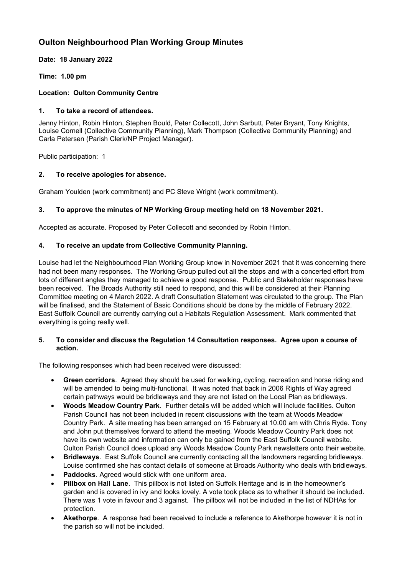# **Oulton Neighbourhood Plan Working Group Minutes**

## **Date: 18 January 2022**

**Time: 1.00 pm**

## **Location: Oulton Community Centre**

### **1. To take a record of attendees.**

Jenny Hinton, Robin Hinton, Stephen Bould, Peter Collecott, John Sarbutt, Peter Bryant, Tony Knights, Louise Cornell (Collective Community Planning), Mark Thompson (Collective Community Planning) and Carla Petersen (Parish Clerk/NP Project Manager).

Public participation: 1

## **2. To receive apologies for absence.**

Graham Youlden (work commitment) and PC Steve Wright (work commitment).

## **3. To approve the minutes of NP Working Group meeting held on 18 November 2021.**

Accepted as accurate. Proposed by Peter Collecott and seconded by Robin Hinton.

## **4. To receive an update from Collective Community Planning.**

Louise had let the Neighbourhood Plan Working Group know in November 2021 that it was concerning there had not been many responses. The Working Group pulled out all the stops and with a concerted effort from lots of different angles they managed to achieve a good response. Public and Stakeholder responses have been received. The Broads Authority still need to respond, and this will be considered at their Planning Committee meeting on 4 March 2022. A draft Consultation Statement was circulated to the group. The Plan will be finalised, and the Statement of Basic Conditions should be done by the middle of February 2022. East Suffolk Council are currently carrying out a Habitats Regulation Assessment. Mark commented that everything is going really well.

#### **5. To consider and discuss the Regulation 14 Consultation responses. Agree upon a course of action.**

The following responses which had been received were discussed:

- **Green corridors**. Agreed they should be used for walking, cycling, recreation and horse riding and will be amended to being multi-functional. It was noted that back in 2006 Rights of Way agreed certain pathways would be bridleways and they are not listed on the Local Plan as bridleways.
- **Woods Meadow Country Park**. Further details will be added which will include facilities. Oulton Parish Council has not been included in recent discussions with the team at Woods Meadow Country Park. A site meeting has been arranged on 15 February at 10.00 am with Chris Ryde. Tony and John put themselves forward to attend the meeting. Woods Meadow Country Park does not have its own website and information can only be gained from the East Suffolk Council website. Oulton Parish Council does upload any Woods Meadow County Park newsletters onto their website.
- **Bridleways**. East Suffolk Council are currently contacting all the landowners regarding bridleways. Louise confirmed she has contact details of someone at Broads Authority who deals with bridleways.
- Paddocks. Agreed would stick with one uniform area.
- **Pillbox on Hall Lane**. This pillbox is not listed on Suffolk Heritage and is in the homeowner's garden and is covered in ivy and looks lovely. A vote took place as to whether it should be included. There was 1 vote in favour and 3 against. The pillbox will not be included in the list of NDHAs for protection.
- **Akethorpe**. A response had been received to include a reference to Akethorpe however it is not in the parish so will not be included.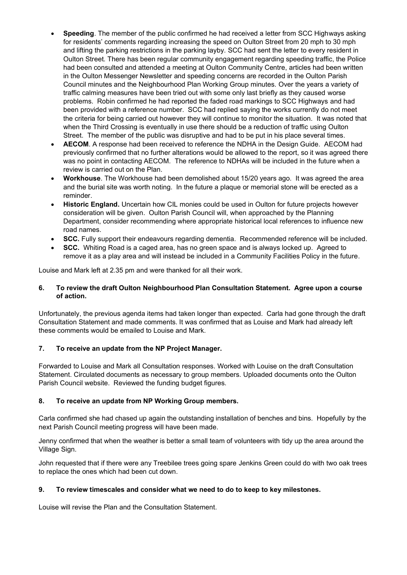- **Speeding**. The member of the public confirmed he had received a letter from SCC Highways asking for residents' comments regarding increasing the speed on Oulton Street from 20 mph to 30 mph and lifting the parking restrictions in the parking layby. SCC had sent the letter to every resident in Oulton Street. There has been regular community engagement regarding speeding traffic, the Police had been consulted and attended a meeting at Oulton Community Centre, articles had been written in the Oulton Messenger Newsletter and speeding concerns are recorded in the Oulton Parish Council minutes and the Neighbourhood Plan Working Group minutes. Over the years a variety of traffic calming measures have been tried out with some only last briefly as they caused worse problems. Robin confirmed he had reported the faded road markings to SCC Highways and had been provided with a reference number. SCC had replied saying the works currently do not meet the criteria for being carried out however they will continue to monitor the situation. It was noted that when the Third Crossing is eventually in use there should be a reduction of traffic using Oulton Street. The member of the public was disruptive and had to be put in his place several times.
- **AECOM**. A response had been received to reference the NDHA in the Design Guide. AECOM had previously confirmed that no further alterations would be allowed to the report, so it was agreed there was no point in contacting AECOM. The reference to NDHAs will be included in the future when a review is carried out on the Plan.
- **Workhouse**. The Workhouse had been demolished about 15/20 years ago. It was agreed the area and the burial site was worth noting. In the future a plaque or memorial stone will be erected as a reminder.
- **Historic England.** Uncertain how CIL monies could be used in Oulton for future projects however consideration will be given. Oulton Parish Council will, when approached by the Planning Department, consider recommending where appropriate historical local references to influence new road names.
- **SCC.** Fully support their endeavours regarding dementia. Recommended reference will be included.
- **SCC.** Whiting Road is a caged area, has no green space and is always locked up. Agreed to remove it as a play area and will instead be included in a Community Facilities Policy in the future.

Louise and Mark left at 2.35 pm and were thanked for all their work.

#### **6. To review the draft Oulton Neighbourhood Plan Consultation Statement. Agree upon a course of action.**

Unfortunately, the previous agenda items had taken longer than expected. Carla had gone through the draft Consultation Statement and made comments. It was confirmed that as Louise and Mark had already left these comments would be emailed to Louise and Mark.

#### **7. To receive an update from the NP Project Manager.**

Forwarded to Louise and Mark all Consultation responses. Worked with Louise on the draft Consultation Statement. Circulated documents as necessary to group members. Uploaded documents onto the Oulton Parish Council website. Reviewed the funding budget figures.

#### **8. To receive an update from NP Working Group members.**

Carla confirmed she had chased up again the outstanding installation of benches and bins. Hopefully by the next Parish Council meeting progress will have been made.

Jenny confirmed that when the weather is better a small team of volunteers with tidy up the area around the Village Sign.

John requested that if there were any Treebilee trees going spare Jenkins Green could do with two oak trees to replace the ones which had been cut down.

#### **9. To review timescales and consider what we need to do to keep to key milestones.**

Louise will revise the Plan and the Consultation Statement.